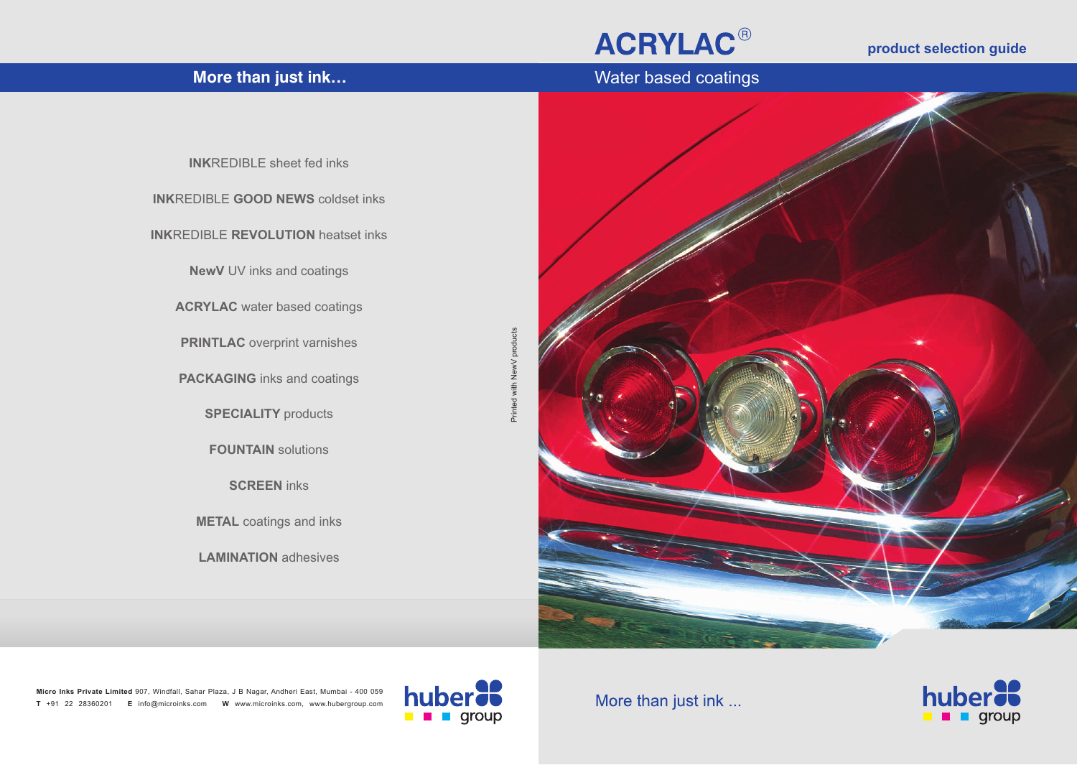## **ACRYLAC®**

### **product selection guide**





**Micro Inks Private Limited**  907, Windfall, Sahar Plaza, J B Nagar, Andheri East, Mumbai - 400 059 **T** +91 22 28360201 **E** info@microinks.com **W** www.microinks.com, www.hubergroup.com



More than just ink ...